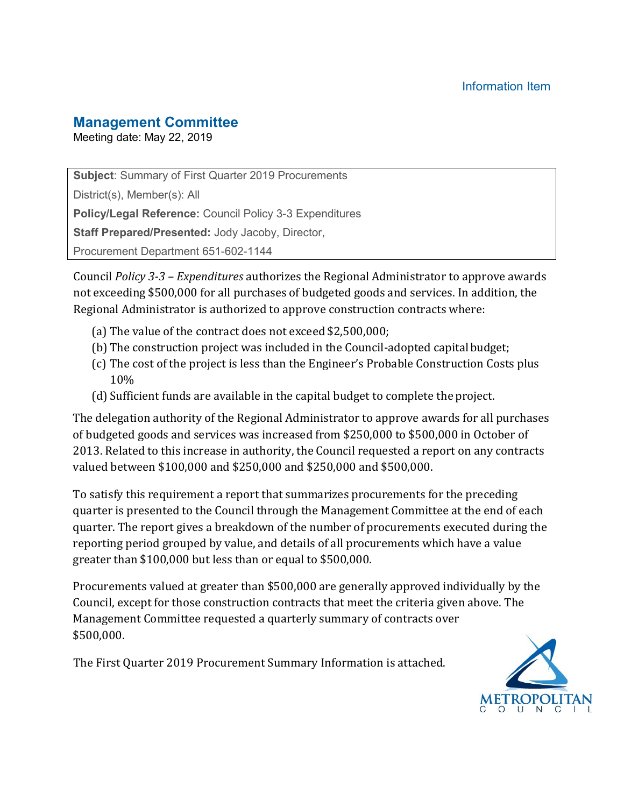#### **Management Committee**

Meeting date: May 22, 2019

**Subject**: Summary of First Quarter 2019 Procurements

District(s), Member(s): All

**Policy/Legal Reference:** Council Policy 3-3 Expenditures

**Staff Prepared/Presented:** Jody Jacoby, Director,

Procurement Department 651-602-1144

Council *Policy 3-3 – Expenditures* authorizes the Regional Administrator to approve awards not exceeding \$500,000 for all purchases of budgeted goods and services. In addition, the Regional Administrator is authorized to approve construction contracts where:

- (a) The value of the contract does not exceed \$2,500,000;
- (b) The construction project was included in the Council-adopted capitalbudget;
- (c) The cost of the project is less than the Engineer's Probable Construction Costs plus 10%
- (d) Sufficient funds are available in the capital budget to complete the project.

The delegation authority of the Regional Administrator to approve awards for all purchases of budgeted goods and services was increased from \$250,000 to \$500,000 in October of 2013. Related to this increase in authority, the Council requested a report on any contracts valued between \$100,000 and \$250,000 and \$250,000 and \$500,000.

To satisfy this requirement a report that summarizes procurements for the preceding quarter is presented to the Council through the Management Committee at the end of each quarter. The report gives a breakdown of the number of procurements executed during the reporting period grouped by value, and details of all procurements which have a value greater than \$100,000 but less than or equal to \$500,000.

Procurements valued at greater than \$500,000 are generally approved individually by the Council, except for those construction contracts that meet the criteria given above. The Management Committee requested a quarterly summary of contracts over \$500,000.

The First Quarter 2019 Procurement Summary Information is attached.

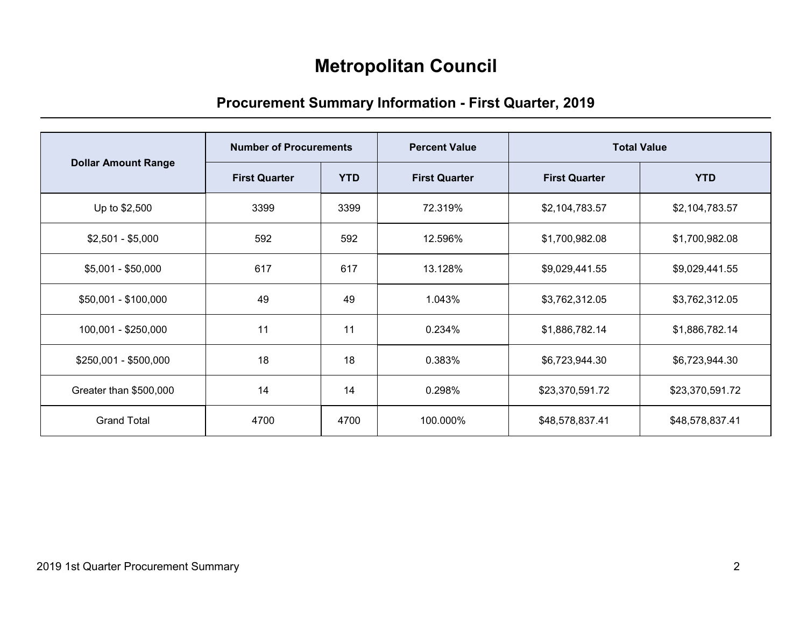# **Metropolitan Council**

## **Procurement Summary Information - First Quarter, 2019**

|                            | <b>Number of Procurements</b> |            | <b>Percent Value</b> |                      | <b>Total Value</b> |
|----------------------------|-------------------------------|------------|----------------------|----------------------|--------------------|
| <b>Dollar Amount Range</b> | <b>First Quarter</b>          | <b>YTD</b> | <b>First Quarter</b> | <b>First Quarter</b> | <b>YTD</b>         |
| Up to \$2,500              | 3399                          | 3399       | 72.319%              | \$2,104,783.57       | \$2,104,783.57     |
| $$2,501 - $5,000$          | 592                           | 592        | 12.596%              | \$1,700,982.08       | \$1,700,982.08     |
| $$5,001 - $50,000$         | 617                           | 617        | 13.128%              | \$9,029,441.55       | \$9,029,441.55     |
| \$50,001 - \$100,000       | 49                            | 49         | 1.043%               | \$3,762,312.05       | \$3,762,312.05     |
| 100,001 - \$250,000        | 11                            | 11         | 0.234%               | \$1,886,782.14       | \$1,886,782.14     |
| \$250,001 - \$500,000      | 18                            | 18         | 0.383%               | \$6,723,944.30       | \$6,723,944.30     |
| Greater than \$500,000     | 14                            | 14         | 0.298%               | \$23,370,591.72      | \$23,370,591.72    |
| <b>Grand Total</b>         | 4700                          | 4700       | 100.000%             | \$48,578,837.41      | \$48,578,837.41    |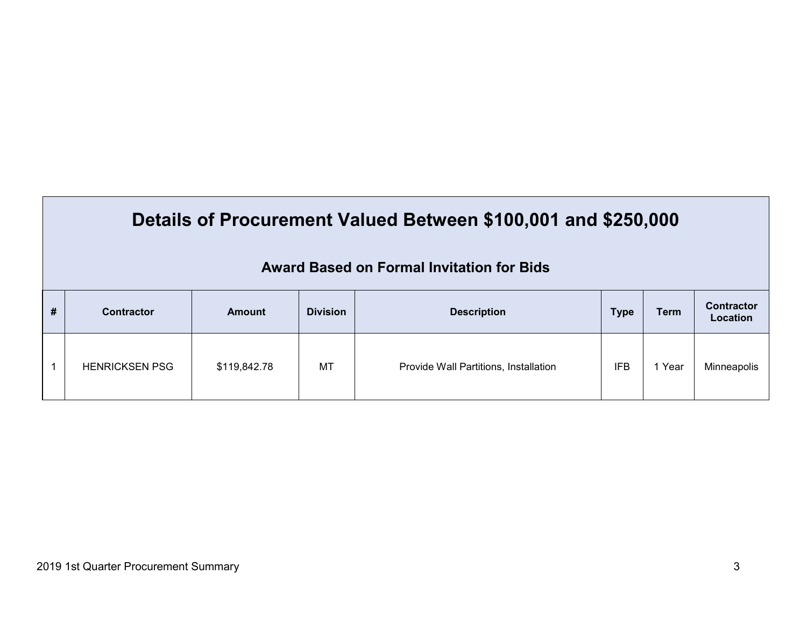|   | Details of Procurement Valued Between \$100,001 and \$250,000<br>Award Based on Formal Invitation for Bids |              |                 |                                       |             |             |                               |  |  |  |  |  |
|---|------------------------------------------------------------------------------------------------------------|--------------|-----------------|---------------------------------------|-------------|-------------|-------------------------------|--|--|--|--|--|
| # | <b>Contractor</b>                                                                                          | Amount       | <b>Division</b> | <b>Description</b>                    | <b>Type</b> | <b>Term</b> | <b>Contractor</b><br>Location |  |  |  |  |  |
|   | <b>HENRICKSEN PSG</b>                                                                                      | \$119,842.78 | МT              | Provide Wall Partitions, Installation | <b>IFB</b>  | 1 Year      | Minneapolis                   |  |  |  |  |  |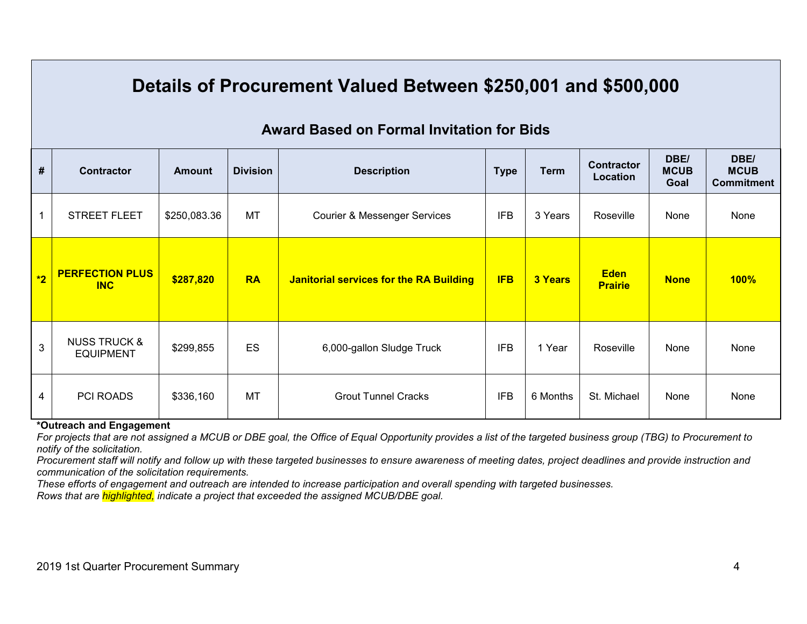# **Details of Procurement Valued Between \$250,001 and \$500,000**

#### **Award Based on Formal Invitation for Bids**

| #    | <b>Contractor</b>                           | <b>Amount</b> | <b>Division</b> | <b>Description</b><br><b>Type</b>              |            | <b>Term</b> | <b>Contractor</b><br>Location | DBE/<br><b>MCUB</b><br>Goal | DBE/<br><b>MCUB</b><br><b>Commitment</b> |
|------|---------------------------------------------|---------------|-----------------|------------------------------------------------|------------|-------------|-------------------------------|-----------------------------|------------------------------------------|
|      | <b>STREET FLEET</b>                         | \$250,083.36  | <b>MT</b>       | <b>Courier &amp; Messenger Services</b>        | <b>IFB</b> | 3 Years     | Roseville                     | None                        | None                                     |
| $*2$ | <b>PERFECTION PLUS</b><br><b>INC</b>        | \$287,820     | <b>RA</b>       | <b>Janitorial services for the RA Building</b> | <b>IFB</b> | 3 Years     | <b>Eden</b><br><b>Prairie</b> | <b>None</b>                 | <b>100%</b>                              |
| 3    | <b>NUSS TRUCK &amp;</b><br><b>EQUIPMENT</b> | \$299,855     | ES              | 6,000-gallon Sludge Truck                      | <b>IFB</b> | 1 Year      | Roseville                     | None                        | None                                     |
| 4    | <b>PCI ROADS</b>                            | \$336,160     | <b>MT</b>       | <b>Grout Tunnel Cracks</b>                     | <b>IFB</b> | 6 Months    | St. Michael                   | None                        | None                                     |

#### **\*Outreach and Engagement**

*For projects that are not assigned a MCUB or DBE goal, the Office of Equal Opportunity provides a list of the targeted business group (TBG) to Procurement to notify of the solicitation.* 

*Procurement staff will notify and follow up with these targeted businesses to ensure awareness of meeting dates, project deadlines and provide instruction and communication of the solicitation requirements.* 

*These efforts of engagement and outreach are intended to increase participation and overall spending with targeted businesses.* 

*Rows that are highlighted, indicate a project that exceeded the assigned MCUB/DBE goal.*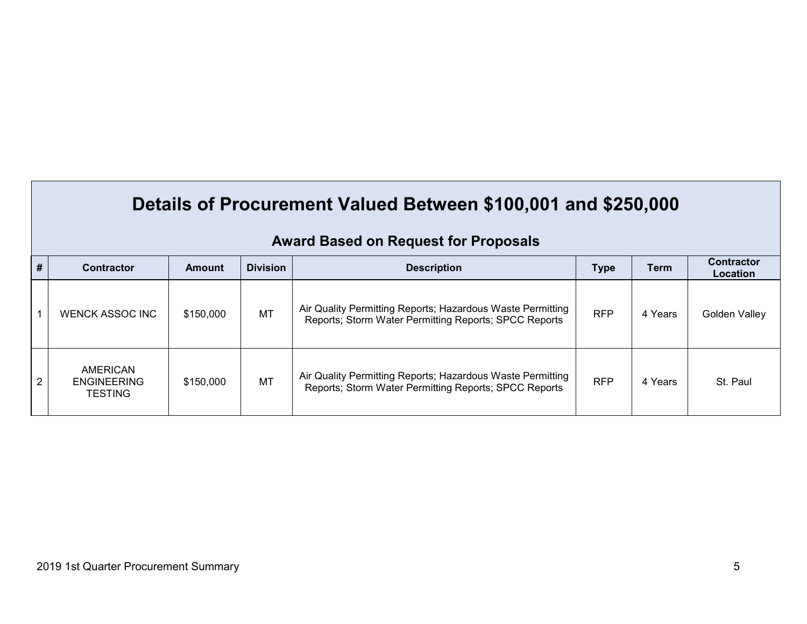# **Details of Procurement Valued Between \$100,001 and \$250,000**

| $\vert \#$ | <b>Contractor</b>                                | <b>Amount</b> | <b>Division</b> | <b>Description</b>                                                                                                  | <b>Type</b> | Term    | <b>Contractor</b><br>Location |
|------------|--------------------------------------------------|---------------|-----------------|---------------------------------------------------------------------------------------------------------------------|-------------|---------|-------------------------------|
|            | <b>WENCK ASSOC INC</b>                           | \$150,000     | <b>MT</b>       | Air Quality Permitting Reports; Hazardous Waste Permitting<br>Reports; Storm Water Permitting Reports; SPCC Reports | <b>RFP</b>  | 4 Years | Golden Valley                 |
| 2          | AMERICAN<br><b>ENGINEERING</b><br><b>TESTING</b> | \$150,000     | <b>MT</b>       | Air Quality Permitting Reports; Hazardous Waste Permitting<br>Reports; Storm Water Permitting Reports; SPCC Reports | <b>RFP</b>  | 4 Years | St. Paul                      |

### **Award Based on Request for Proposals**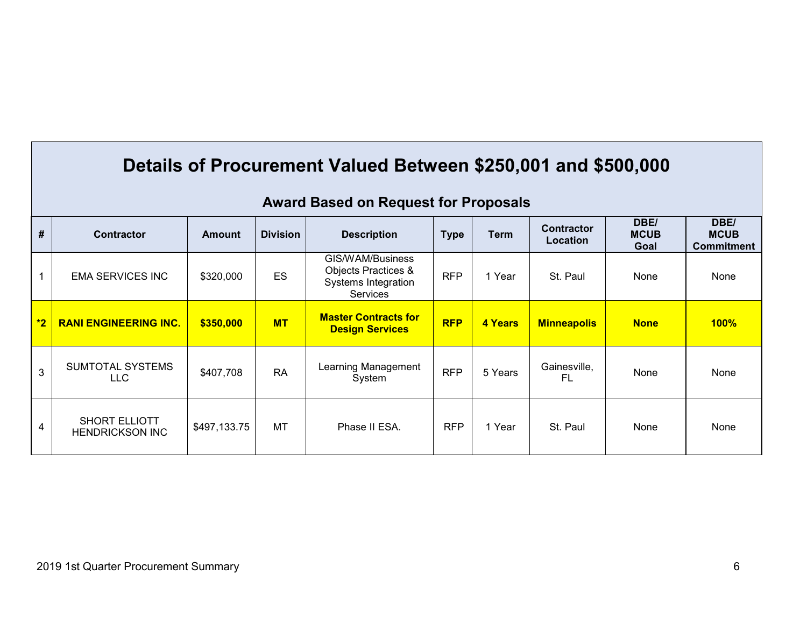|      | Details of Procurement Valued Between \$250,001 and \$500,000 |              |                 |                                                                            |             |             |                               |                             |                                          |  |  |  |  |
|------|---------------------------------------------------------------|--------------|-----------------|----------------------------------------------------------------------------|-------------|-------------|-------------------------------|-----------------------------|------------------------------------------|--|--|--|--|
|      | <b>Award Based on Request for Proposals</b>                   |              |                 |                                                                            |             |             |                               |                             |                                          |  |  |  |  |
| #    | <b>Contractor</b>                                             | Amount       | <b>Division</b> | <b>Description</b>                                                         | <b>Type</b> | <b>Term</b> | <b>Contractor</b><br>Location | DBE/<br><b>MCUB</b><br>Goal | DBE/<br><b>MCUB</b><br><b>Commitment</b> |  |  |  |  |
| 1    | <b>EMA SERVICES INC</b>                                       | \$320,000    | ES              | GIS/WAM/Business<br>Objects Practices &<br>Systems Integration<br>Services | <b>RFP</b>  | 1 Year      | St. Paul                      | None                        | None                                     |  |  |  |  |
| $*2$ | <b>RANI ENGINEERING INC.</b>                                  | \$350,000    | <b>MT</b>       | <b>Master Contracts for</b><br><b>Design Services</b>                      | <b>RFP</b>  | 4 Years     | <b>Minneapolis</b>            | <b>None</b>                 | $100\%$                                  |  |  |  |  |
| 3    | SUMTOTAL SYSTEMS<br><b>LLC</b>                                | \$407,708    | <b>RA</b>       | Learning Management<br>System                                              | <b>RFP</b>  | 5 Years     | Gainesville,<br>FL            | None                        | None                                     |  |  |  |  |
| 4    | <b>SHORT ELLIOTT</b><br><b>HENDRICKSON INC</b>                | \$497,133.75 | MT              | Phase II ESA.                                                              | <b>RFP</b>  | 1 Year      | St. Paul                      | None                        | None                                     |  |  |  |  |

#### 2019 1st Quarter Procurement Summary 6

T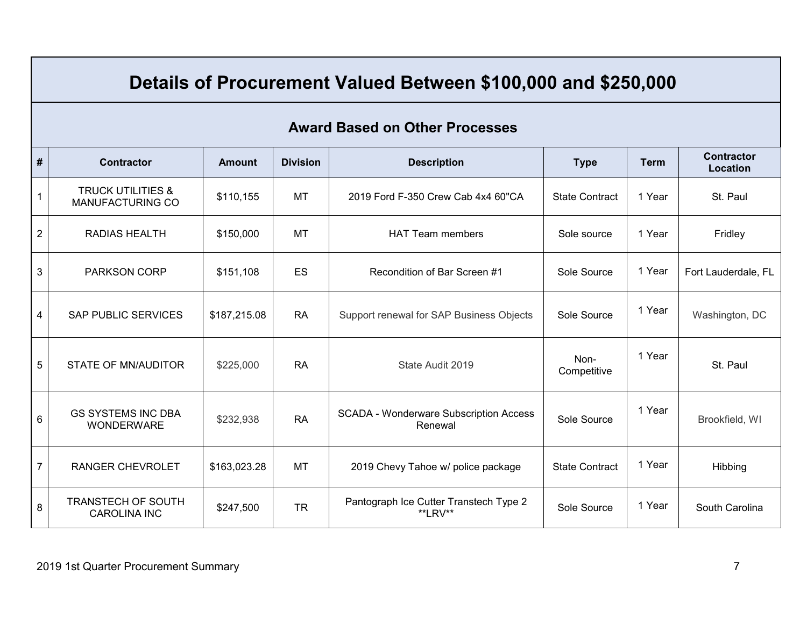# **Details of Procurement Valued Between \$100,000 and \$250,000**

#### **Award Based on Other Processes**

| #              | <b>Contractor</b>                                       | <b>Amount</b> | <b>Division</b> | <b>Description</b>                                       | <b>Type</b>                     | <b>Term</b> | <b>Contractor</b><br>Location |
|----------------|---------------------------------------------------------|---------------|-----------------|----------------------------------------------------------|---------------------------------|-------------|-------------------------------|
| $\mathbf{1}$   | <b>TRUCK UTILITIES &amp;</b><br><b>MANUFACTURING CO</b> | \$110,155     | <b>MT</b>       | 2019 Ford F-350 Crew Cab 4x4 60"CA                       | <b>State Contract</b><br>1 Year |             | St. Paul                      |
| $\overline{2}$ | <b>RADIAS HEALTH</b>                                    | \$150,000     | <b>MT</b>       | <b>HAT Team members</b><br>Sole source                   |                                 | 1 Year      | Fridley                       |
| $\mathbf{3}$   | <b>PARKSON CORP</b>                                     | \$151,108     | ES              | Recondition of Bar Screen #1                             | Sole Source                     | 1 Year      | Fort Lauderdale, FL           |
| $\overline{4}$ | <b>SAP PUBLIC SERVICES</b>                              | \$187,215.08  | <b>RA</b>       | Support renewal for SAP Business Objects                 | Sole Source                     | 1 Year      | Washington, DC                |
| 5              | <b>STATE OF MN/AUDITOR</b>                              | \$225,000     | <b>RA</b>       | State Audit 2019                                         | Non-<br>Competitive             | 1 Year      | St. Paul                      |
| $6\phantom{1}$ | <b>GS SYSTEMS INC DBA</b><br><b>WONDERWARE</b>          | \$232,938     | <b>RA</b>       | <b>SCADA - Wonderware Subscription Access</b><br>Renewal | Sole Source                     | 1 Year      | Brookfield, WI                |
| $\overline{7}$ | <b>RANGER CHEVROLET</b>                                 | \$163,023.28  | <b>MT</b>       | 2019 Chevy Tahoe w/ police package                       | <b>State Contract</b>           | 1 Year      | Hibbing                       |
| 8              | <b>TRANSTECH OF SOUTH</b><br><b>CAROLINA INC</b>        | \$247,500     | <b>TR</b>       | Pantograph Ice Cutter Transtech Type 2<br>**LRV**        | Sole Source                     | 1 Year      | South Carolina                |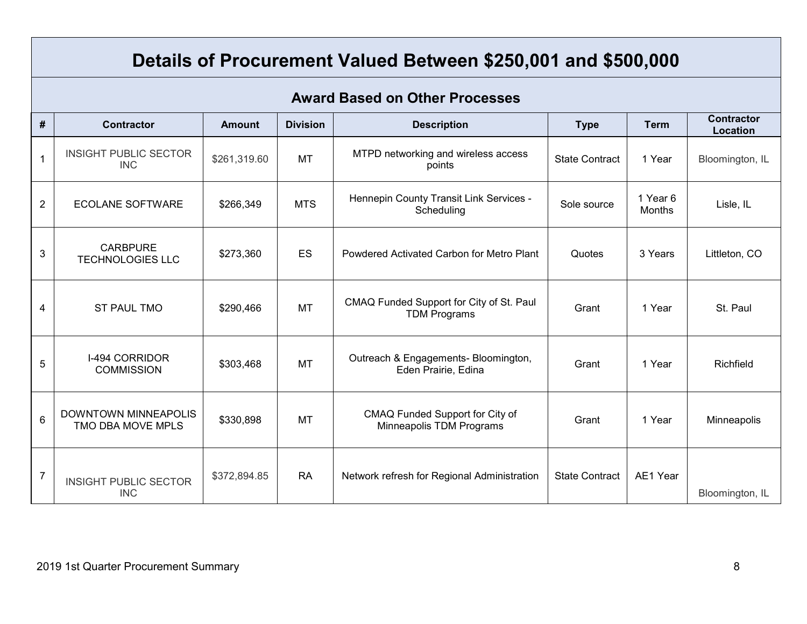# **Details of Procurement Valued Between \$250,001 and \$500,000**

#### **Award Based on Other Processes**

| #              | <b>Contractor</b>                          | <b>Amount</b> | <b>Division</b> | <b>Description</b>                                              | <b>Type</b>           | <b>Term</b>        | <b>Contractor</b><br>Location |
|----------------|--------------------------------------------|---------------|-----------------|-----------------------------------------------------------------|-----------------------|--------------------|-------------------------------|
|                | <b>INSIGHT PUBLIC SECTOR</b><br><b>INC</b> | \$261,319.60  | <b>MT</b>       | MTPD networking and wireless access<br>points                   | <b>State Contract</b> | 1 Year             | Bloomington, IL               |
| $\overline{2}$ | <b>ECOLANE SOFTWARE</b>                    | \$266,349     | <b>MTS</b>      | Hennepin County Transit Link Services -<br>Scheduling           | Sole source           | 1 Year 6<br>Months | Lisle, IL                     |
| $\mathbf{3}$   | <b>CARBPURE</b><br><b>TECHNOLOGIES LLC</b> | \$273,360     | <b>ES</b>       | Powdered Activated Carbon for Metro Plant                       | Quotes                | 3 Years            | Littleton, CO                 |
| 4              | <b>ST PAUL TMO</b>                         | \$290,466     | <b>MT</b>       | CMAQ Funded Support for City of St. Paul<br><b>TDM Programs</b> | Grant                 | 1 Year             | St. Paul                      |
| 5              | I-494 CORRIDOR<br><b>COMMISSION</b>        | \$303,468     | <b>MT</b>       | Outreach & Engagements- Bloomington,<br>Eden Prairie, Edina     | Grant                 | 1 Year             | Richfield                     |
| 6              | DOWNTOWN MINNEAPOLIS<br>TMO DBA MOVE MPLS  | \$330,898     | <b>MT</b>       | CMAQ Funded Support for City of<br>Minneapolis TDM Programs     | Grant                 | 1 Year             | Minneapolis                   |
| 7              | <b>INSIGHT PUBLIC SECTOR</b><br><b>INC</b> | \$372,894.85  | <b>RA</b>       | Network refresh for Regional Administration                     | <b>State Contract</b> | AE1 Year           | Bloomington, IL               |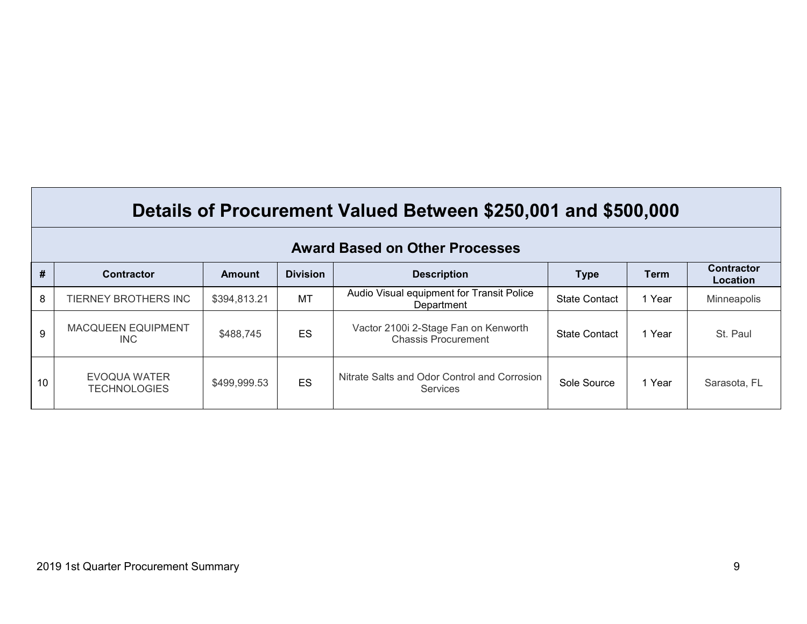| Details of Procurement Valued Between \$250,001 and \$500,000 |  |
|---------------------------------------------------------------|--|
|---------------------------------------------------------------|--|

| #  | <b>Contractor</b>                   | Amount       | <b>Division</b> | <b>Description</b>                                                 | <b>Type</b>          | <b>Term</b> | <b>Contractor</b><br>Location |
|----|-------------------------------------|--------------|-----------------|--------------------------------------------------------------------|----------------------|-------------|-------------------------------|
| 8  | TIERNEY BROTHERS INC                | \$394,813.21 | <b>MT</b>       | Audio Visual equipment for Transit Police<br>Department            | <b>State Contact</b> | 1 Year      | Minneapolis                   |
| 9  | <b>MACQUEEN EQUIPMENT</b><br>INC.   | \$488,745    | ES              | Vactor 2100i 2-Stage Fan on Kenworth<br><b>Chassis Procurement</b> | <b>State Contact</b> | 1 Year      | St. Paul                      |
| 10 | EVOQUA WATER<br><b>TECHNOLOGIES</b> | \$499,999.53 | ES              | Nitrate Salts and Odor Control and Corrosion<br><b>Services</b>    | Sole Source          | 1 Year      | Sarasota, FL                  |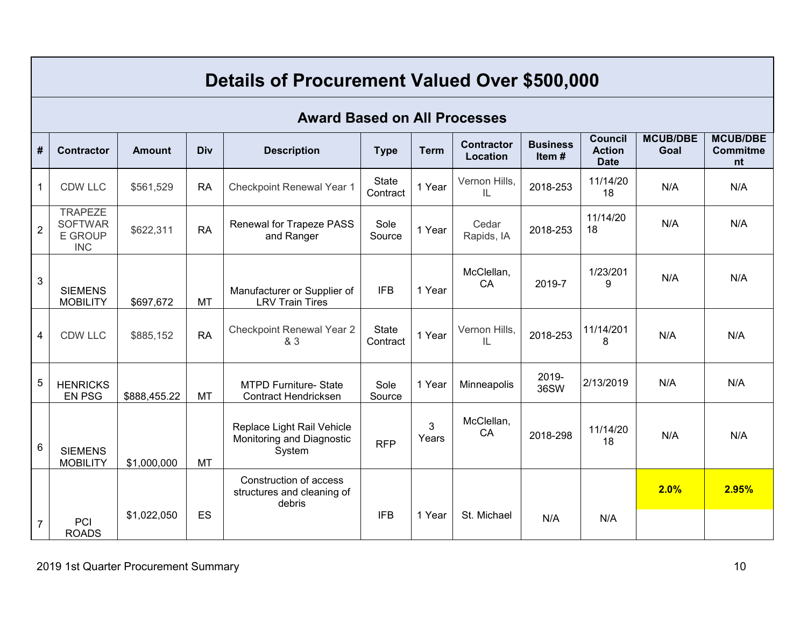|                | Details of Procurement Valued Over \$500,000                     |               |           |                                                                   |                          |             |                               |                          |                                                |                         |                                          |  |  |  |
|----------------|------------------------------------------------------------------|---------------|-----------|-------------------------------------------------------------------|--------------------------|-------------|-------------------------------|--------------------------|------------------------------------------------|-------------------------|------------------------------------------|--|--|--|
|                | <b>Award Based on All Processes</b>                              |               |           |                                                                   |                          |             |                               |                          |                                                |                         |                                          |  |  |  |
| #              | <b>Contractor</b>                                                | <b>Amount</b> | Div       | <b>Description</b>                                                | <b>Type</b>              | <b>Term</b> | <b>Contractor</b><br>Location | <b>Business</b><br>Item# | <b>Council</b><br><b>Action</b><br><b>Date</b> | <b>MCUB/DBE</b><br>Goal | <b>MCUB/DBE</b><br><b>Commitme</b><br>nt |  |  |  |
| $\mathbf{1}$   | <b>CDW LLC</b>                                                   | \$561,529     | <b>RA</b> | Checkpoint Renewal Year 1                                         | <b>State</b><br>Contract | 1 Year      | Vernon Hills,<br>IL           | 2018-253                 | 11/14/20<br>18                                 | N/A                     | N/A                                      |  |  |  |
| $\overline{2}$ | <b>TRAPEZE</b><br><b>SOFTWAR</b><br><b>E GROUP</b><br><b>INC</b> | \$622,311     | <b>RA</b> | <b>Renewal for Trapeze PASS</b><br>and Ranger                     | Sole<br>Source           | 1 Year      | Cedar<br>Rapids, IA           | 2018-253                 | 11/14/20<br>18                                 | N/A                     | N/A                                      |  |  |  |
| 3              | <b>SIEMENS</b><br><b>MOBILITY</b>                                | \$697,672     | MT        | Manufacturer or Supplier of<br><b>LRV Train Tires</b>             | <b>IFB</b>               | 1 Year      | McClellan,<br><b>CA</b>       | 2019-7                   | 1/23/201<br>9                                  | N/A                     | N/A                                      |  |  |  |
| 4              | <b>CDW LLC</b>                                                   | \$885,152     | <b>RA</b> | <b>Checkpoint Renewal Year 2</b><br>& 3                           | <b>State</b><br>Contract | 1 Year      | Vernon Hills,<br>IL           | 2018-253                 | 11/14/201<br>8                                 | N/A                     | N/A                                      |  |  |  |
| 5              | <b>HENRICKS</b><br><b>EN PSG</b>                                 | \$888,455.22  | <b>MT</b> | <b>MTPD Furniture- State</b><br><b>Contract Hendricksen</b>       | Sole<br>Source           | 1 Year      | Minneapolis                   | 2019-<br>36SW            | 2/13/2019                                      | N/A                     | N/A                                      |  |  |  |
| 6              | <b>SIEMENS</b><br><b>MOBILITY</b>                                | \$1,000,000   | <b>MT</b> | Replace Light Rail Vehicle<br>Monitoring and Diagnostic<br>System | <b>RFP</b>               | 3<br>Years  | McClellan,<br>CA              | 2018-298                 | 11/14/20<br>18                                 | N/A                     | N/A                                      |  |  |  |
|                |                                                                  |               |           | Construction of access<br>structures and cleaning of<br>debris    |                          |             |                               |                          |                                                | 2.0%                    | 2.95%                                    |  |  |  |
| $\overline{7}$ | PCI<br><b>ROADS</b>                                              | \$1,022,050   | ES        |                                                                   | <b>IFB</b>               | 1 Year      | St. Michael                   | N/A                      | N/A                                            |                         |                                          |  |  |  |